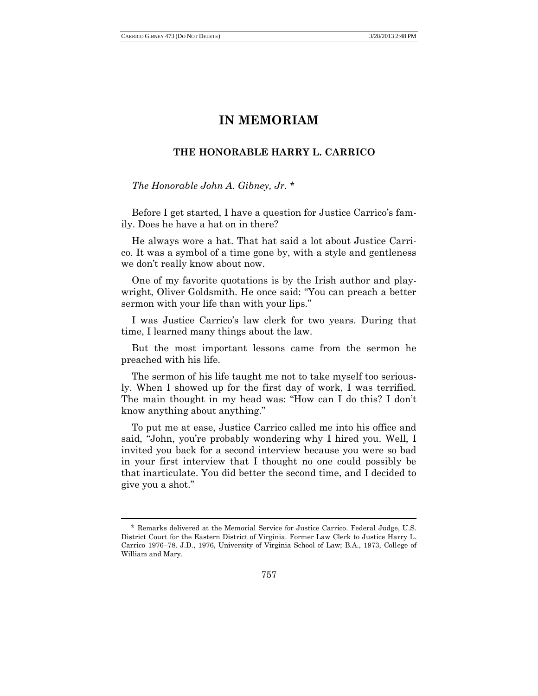l

## **IN MEMORIAM**

## **THE HONORABLE HARRY L. CARRICO**

## *The Honorable John A. Gibney, Jr.* \*

Before I get started, I have a question for Justice Carrico's family. Does he have a hat on in there?

He always wore a hat. That hat said a lot about Justice Carrico. It was a symbol of a time gone by, with a style and gentleness we don't really know about now.

One of my favorite quotations is by the Irish author and playwright, Oliver Goldsmith. He once said: "You can preach a better sermon with your life than with your lips."

I was Justice Carrico's law clerk for two years. During that time, I learned many things about the law.

But the most important lessons came from the sermon he preached with his life.

The sermon of his life taught me not to take myself too seriously. When I showed up for the first day of work, I was terrified. The main thought in my head was: "How can I do this? I don't know anything about anything."

To put me at ease, Justice Carrico called me into his office and said, "John, you're probably wondering why I hired you. Well, I invited you back for a second interview because you were so bad in your first interview that I thought no one could possibly be that inarticulate. You did better the second time, and I decided to give you a shot.‖

<sup>\*</sup> Remarks delivered at the Memorial Service for Justice Carrico. Federal Judge, U.S. District Court for the Eastern District of Virginia. Former Law Clerk to Justice Harry L. Carrico 1976–78. J.D., 1976, University of Virginia School of Law; B.A., 1973, College of William and Mary.